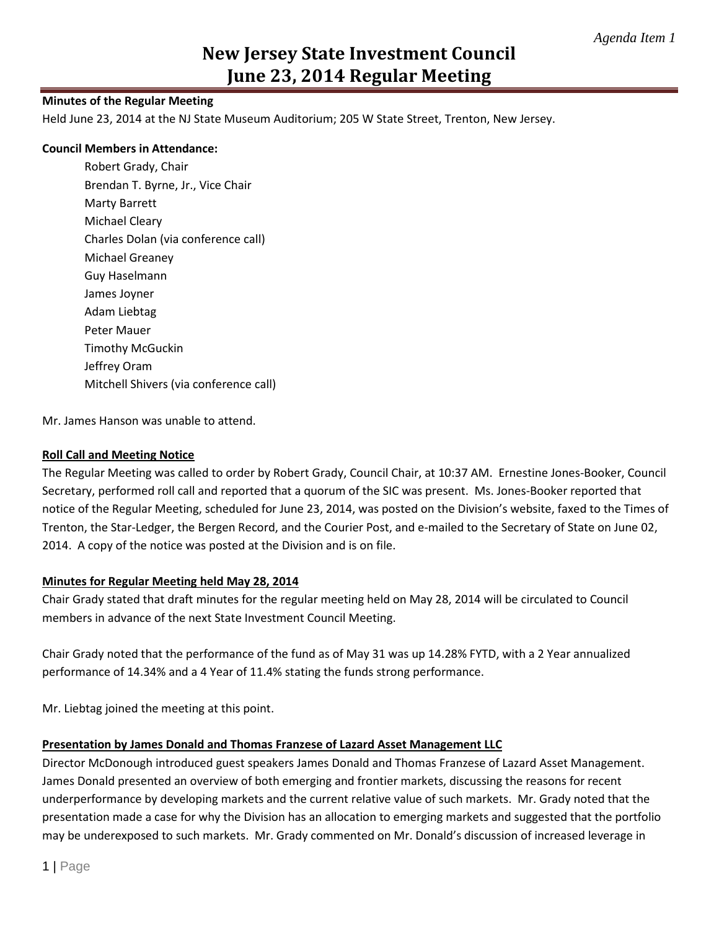## **Minutes of the Regular Meeting**

Held June 23, 2014 at the NJ State Museum Auditorium; 205 W State Street, Trenton, New Jersey.

### **Council Members in Attendance:**

Robert Grady, Chair Brendan T. Byrne, Jr., Vice Chair Marty Barrett Michael Cleary Charles Dolan (via conference call) Michael Greaney Guy Haselmann James Joyner Adam Liebtag Peter Mauer Timothy McGuckin Jeffrey Oram Mitchell Shivers (via conference call)

Mr. James Hanson was unable to attend.

## **Roll Call and Meeting Notice**

The Regular Meeting was called to order by Robert Grady, Council Chair, at 10:37 AM. Ernestine Jones-Booker, Council Secretary, performed roll call and reported that a quorum of the SIC was present. Ms. Jones-Booker reported that notice of the Regular Meeting, scheduled for June 23, 2014, was posted on the Division's website, faxed to the Times of Trenton, the Star-Ledger, the Bergen Record, and the Courier Post, and e-mailed to the Secretary of State on June 02, 2014. A copy of the notice was posted at the Division and is on file.

### **Minutes for Regular Meeting held May 28, 2014**

Chair Grady stated that draft minutes for the regular meeting held on May 28, 2014 will be circulated to Council members in advance of the next State Investment Council Meeting.

Chair Grady noted that the performance of the fund as of May 31 was up 14.28% FYTD, with a 2 Year annualized performance of 14.34% and a 4 Year of 11.4% stating the funds strong performance.

Mr. Liebtag joined the meeting at this point.

### **Presentation by James Donald and Thomas Franzese of Lazard Asset Management LLC**

Director McDonough introduced guest speakers James Donald and Thomas Franzese of Lazard Asset Management. James Donald presented an overview of both emerging and frontier markets, discussing the reasons for recent underperformance by developing markets and the current relative value of such markets. Mr. Grady noted that the presentation made a case for why the Division has an allocation to emerging markets and suggested that the portfolio may be underexposed to such markets. Mr. Grady commented on Mr. Donald's discussion of increased leverage in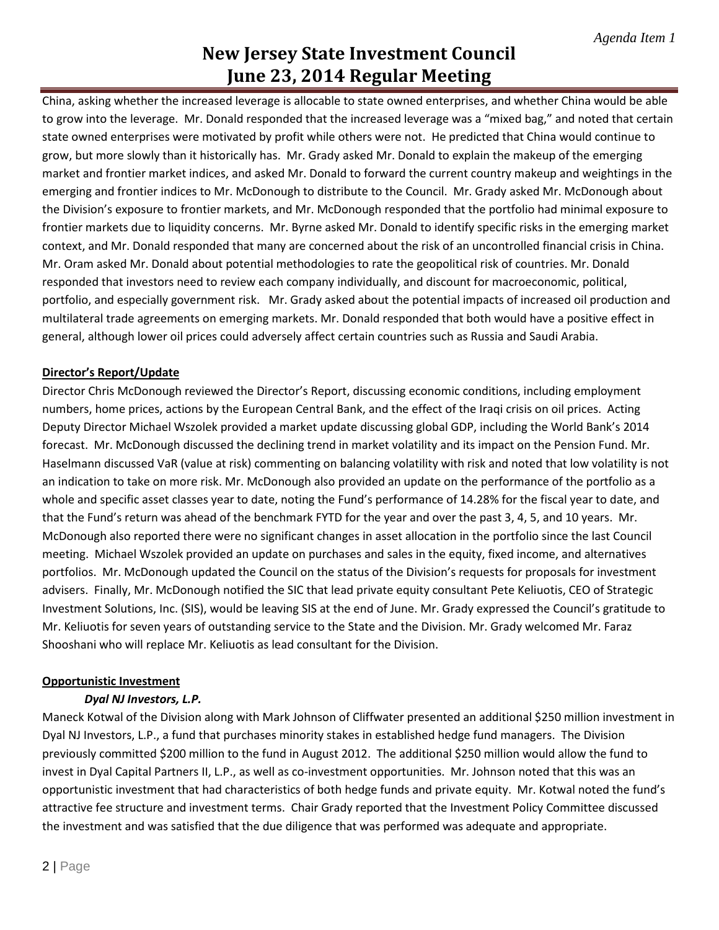China, asking whether the increased leverage is allocable to state owned enterprises, and whether China would be able to grow into the leverage. Mr. Donald responded that the increased leverage was a "mixed bag," and noted that certain state owned enterprises were motivated by profit while others were not. He predicted that China would continue to grow, but more slowly than it historically has. Mr. Grady asked Mr. Donald to explain the makeup of the emerging market and frontier market indices, and asked Mr. Donald to forward the current country makeup and weightings in the emerging and frontier indices to Mr. McDonough to distribute to the Council. Mr. Grady asked Mr. McDonough about the Division's exposure to frontier markets, and Mr. McDonough responded that the portfolio had minimal exposure to frontier markets due to liquidity concerns. Mr. Byrne asked Mr. Donald to identify specific risks in the emerging market context, and Mr. Donald responded that many are concerned about the risk of an uncontrolled financial crisis in China. Mr. Oram asked Mr. Donald about potential methodologies to rate the geopolitical risk of countries. Mr. Donald responded that investors need to review each company individually, and discount for macroeconomic, political, portfolio, and especially government risk. Mr. Grady asked about the potential impacts of increased oil production and multilateral trade agreements on emerging markets. Mr. Donald responded that both would have a positive effect in general, although lower oil prices could adversely affect certain countries such as Russia and Saudi Arabia.

## **Director's Report/Update**

Director Chris McDonough reviewed the Director's Report, discussing economic conditions, including employment numbers, home prices, actions by the European Central Bank, and the effect of the Iraqi crisis on oil prices. Acting Deputy Director Michael Wszolek provided a market update discussing global GDP, including the World Bank's 2014 forecast. Mr. McDonough discussed the declining trend in market volatility and its impact on the Pension Fund. Mr. Haselmann discussed VaR (value at risk) commenting on balancing volatility with risk and noted that low volatility is not an indication to take on more risk. Mr. McDonough also provided an update on the performance of the portfolio as a whole and specific asset classes year to date, noting the Fund's performance of 14.28% for the fiscal year to date, and that the Fund's return was ahead of the benchmark FYTD for the year and over the past 3, 4, 5, and 10 years. Mr. McDonough also reported there were no significant changes in asset allocation in the portfolio since the last Council meeting. Michael Wszolek provided an update on purchases and sales in the equity, fixed income, and alternatives portfolios. Mr. McDonough updated the Council on the status of the Division's requests for proposals for investment advisers. Finally, Mr. McDonough notified the SIC that lead private equity consultant Pete Keliuotis, CEO of Strategic Investment Solutions, Inc. (SIS), would be leaving SIS at the end of June. Mr. Grady expressed the Council's gratitude to Mr. Keliuotis for seven years of outstanding service to the State and the Division. Mr. Grady welcomed Mr. Faraz Shooshani who will replace Mr. Keliuotis as lead consultant for the Division.

## **Opportunistic Investment**

## *Dyal NJ Investors, L.P.*

Maneck Kotwal of the Division along with Mark Johnson of Cliffwater presented an additional \$250 million investment in Dyal NJ Investors, L.P., a fund that purchases minority stakes in established hedge fund managers. The Division previously committed \$200 million to the fund in August 2012. The additional \$250 million would allow the fund to invest in Dyal Capital Partners II, L.P., as well as co-investment opportunities. Mr. Johnson noted that this was an opportunistic investment that had characteristics of both hedge funds and private equity. Mr. Kotwal noted the fund's attractive fee structure and investment terms. Chair Grady reported that the Investment Policy Committee discussed the investment and was satisfied that the due diligence that was performed was adequate and appropriate.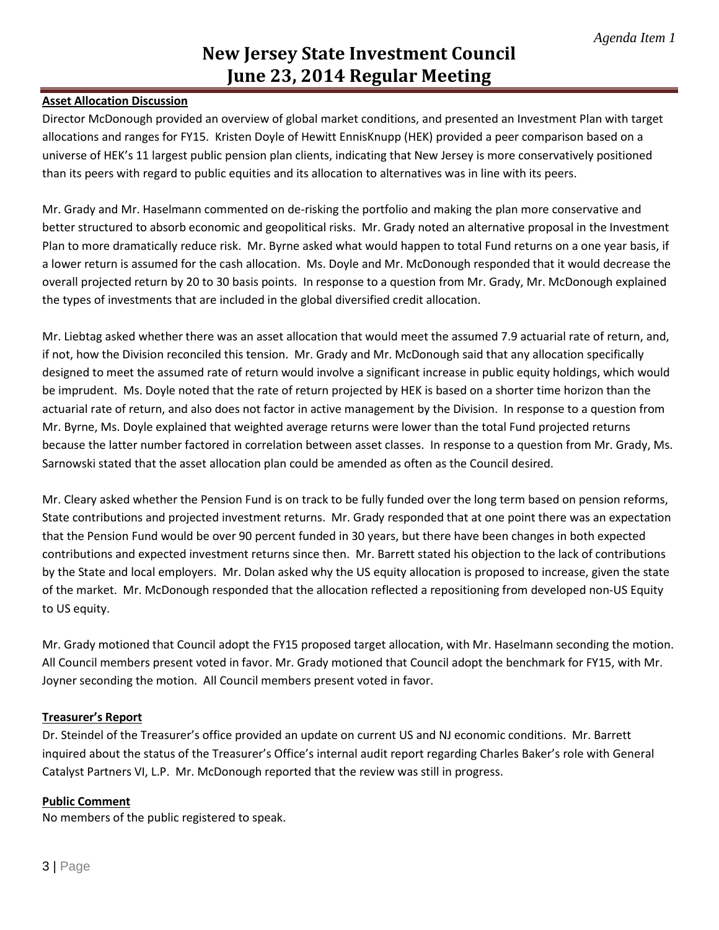## **Asset Allocation Discussion**

Director McDonough provided an overview of global market conditions, and presented an Investment Plan with target allocations and ranges for FY15. Kristen Doyle of Hewitt EnnisKnupp (HEK) provided a peer comparison based on a universe of HEK's 11 largest public pension plan clients, indicating that New Jersey is more conservatively positioned than its peers with regard to public equities and its allocation to alternatives was in line with its peers.

Mr. Grady and Mr. Haselmann commented on de-risking the portfolio and making the plan more conservative and better structured to absorb economic and geopolitical risks. Mr. Grady noted an alternative proposal in the Investment Plan to more dramatically reduce risk. Mr. Byrne asked what would happen to total Fund returns on a one year basis, if a lower return is assumed for the cash allocation. Ms. Doyle and Mr. McDonough responded that it would decrease the overall projected return by 20 to 30 basis points. In response to a question from Mr. Grady, Mr. McDonough explained the types of investments that are included in the global diversified credit allocation.

Mr. Liebtag asked whether there was an asset allocation that would meet the assumed 7.9 actuarial rate of return, and, if not, how the Division reconciled this tension. Mr. Grady and Mr. McDonough said that any allocation specifically designed to meet the assumed rate of return would involve a significant increase in public equity holdings, which would be imprudent. Ms. Doyle noted that the rate of return projected by HEK is based on a shorter time horizon than the actuarial rate of return, and also does not factor in active management by the Division. In response to a question from Mr. Byrne, Ms. Doyle explained that weighted average returns were lower than the total Fund projected returns because the latter number factored in correlation between asset classes. In response to a question from Mr. Grady, Ms. Sarnowski stated that the asset allocation plan could be amended as often as the Council desired.

Mr. Cleary asked whether the Pension Fund is on track to be fully funded over the long term based on pension reforms, State contributions and projected investment returns. Mr. Grady responded that at one point there was an expectation that the Pension Fund would be over 90 percent funded in 30 years, but there have been changes in both expected contributions and expected investment returns since then. Mr. Barrett stated his objection to the lack of contributions by the State and local employers. Mr. Dolan asked why the US equity allocation is proposed to increase, given the state of the market. Mr. McDonough responded that the allocation reflected a repositioning from developed non-US Equity to US equity.

Mr. Grady motioned that Council adopt the FY15 proposed target allocation, with Mr. Haselmann seconding the motion. All Council members present voted in favor. Mr. Grady motioned that Council adopt the benchmark for FY15, with Mr. Joyner seconding the motion. All Council members present voted in favor.

### **Treasurer's Report**

Dr. Steindel of the Treasurer's office provided an update on current US and NJ economic conditions. Mr. Barrett inquired about the status of the Treasurer's Office's internal audit report regarding Charles Baker's role with General Catalyst Partners VI, L.P. Mr. McDonough reported that the review was still in progress.

### **Public Comment**

No members of the public registered to speak.